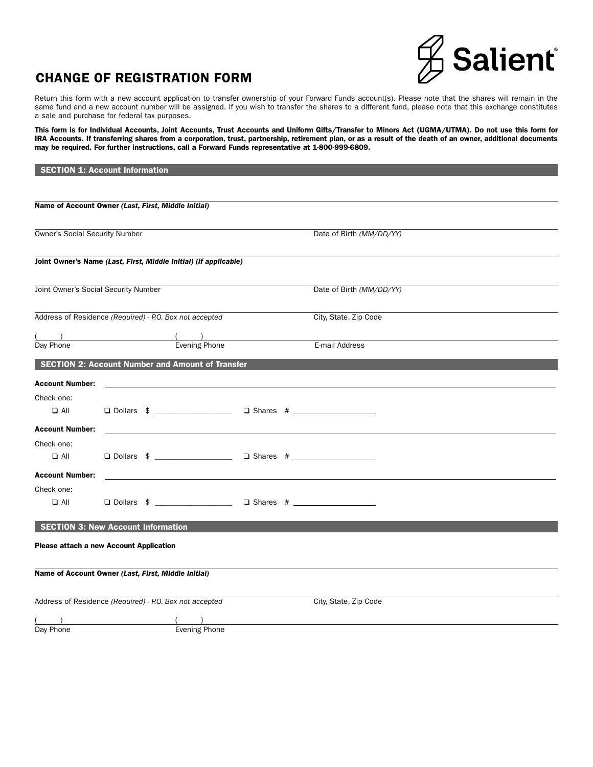

## CHANGE OF REGISTRATION FORM

Return this form with a new account application to transfer ownership of your Forward Funds account(s). Please note that the shares will remain in the same fund and a new account number will be assigned. If you wish to transfer the shares to a different fund, please note that this exchange constitutes a sale and purchase for federal tax purposes.

This form is for Individual Accounts, Joint Accounts, Trust Accounts and Uniform Gifts/Transfer to Minors Act (UGMA/UTMA). Do not use this form for IRA Accounts. If transferring shares from a corporation, trust, partnership, retirement plan, or as a result of the death of an owner, additional documents may be required. For further instructions, call a Forward Funds representative at 1-800-999-6809.

|                                                         | <b>SECTION 1: Account Information</b>                   |                                                                  |  |                                                               |  |
|---------------------------------------------------------|---------------------------------------------------------|------------------------------------------------------------------|--|---------------------------------------------------------------|--|
|                                                         |                                                         |                                                                  |  |                                                               |  |
|                                                         |                                                         |                                                                  |  |                                                               |  |
|                                                         | Name of Account Owner (Last, First, Middle Initial)     |                                                                  |  |                                                               |  |
|                                                         |                                                         |                                                                  |  |                                                               |  |
| Owner's Social Security Number                          |                                                         |                                                                  |  | Date of Birth (MM/DD/YY)                                      |  |
|                                                         |                                                         |                                                                  |  |                                                               |  |
|                                                         |                                                         | Joint Owner's Name (Last, First, Middle Initial) (if applicable) |  |                                                               |  |
|                                                         |                                                         |                                                                  |  |                                                               |  |
| Joint Owner's Social Security Number                    |                                                         |                                                                  |  | Date of Birth (MM/DD/YY)                                      |  |
|                                                         |                                                         |                                                                  |  |                                                               |  |
| Address of Residence (Required) - P.O. Box not accepted |                                                         |                                                                  |  | City, State, Zip Code                                         |  |
|                                                         |                                                         |                                                                  |  |                                                               |  |
| Day Phone                                               |                                                         | $\frac{1}{2}$ Evening Phone                                      |  | E-mail Address                                                |  |
|                                                         |                                                         | <b>SECTION 2: Account Number and Amount of Transfer</b>          |  |                                                               |  |
|                                                         |                                                         |                                                                  |  |                                                               |  |
| <b>Account Number:</b>                                  |                                                         |                                                                  |  |                                                               |  |
| Check one:                                              |                                                         |                                                                  |  |                                                               |  |
| $\Box$ All                                              |                                                         |                                                                  |  | □ Dollars \$ ___________________ □ Shares # _________________ |  |
| <b>Account Number:</b>                                  |                                                         |                                                                  |  |                                                               |  |
| Check one:                                              |                                                         |                                                                  |  |                                                               |  |
| $\Box$ All                                              |                                                         |                                                                  |  |                                                               |  |
| <b>Account Number:</b>                                  |                                                         |                                                                  |  |                                                               |  |
| Check one:                                              |                                                         |                                                                  |  |                                                               |  |
| $\Box$ All                                              |                                                         | □ Dollars \$ __________________                                  |  |                                                               |  |
|                                                         |                                                         |                                                                  |  |                                                               |  |
|                                                         | <b>SECTION 3: New Account Information</b>               |                                                                  |  |                                                               |  |
|                                                         | <b>Please attach a new Account Application</b>          |                                                                  |  |                                                               |  |
|                                                         |                                                         |                                                                  |  |                                                               |  |
|                                                         | Name of Account Owner (Last, First, Middle Initial)     |                                                                  |  |                                                               |  |
|                                                         |                                                         |                                                                  |  |                                                               |  |
|                                                         | Address of Residence (Required) - P.O. Box not accepted |                                                                  |  | City, State, Zip Code                                         |  |
|                                                         |                                                         |                                                                  |  |                                                               |  |
| Day Phone                                               |                                                         | <b>Evening Phone</b>                                             |  |                                                               |  |
|                                                         |                                                         |                                                                  |  |                                                               |  |